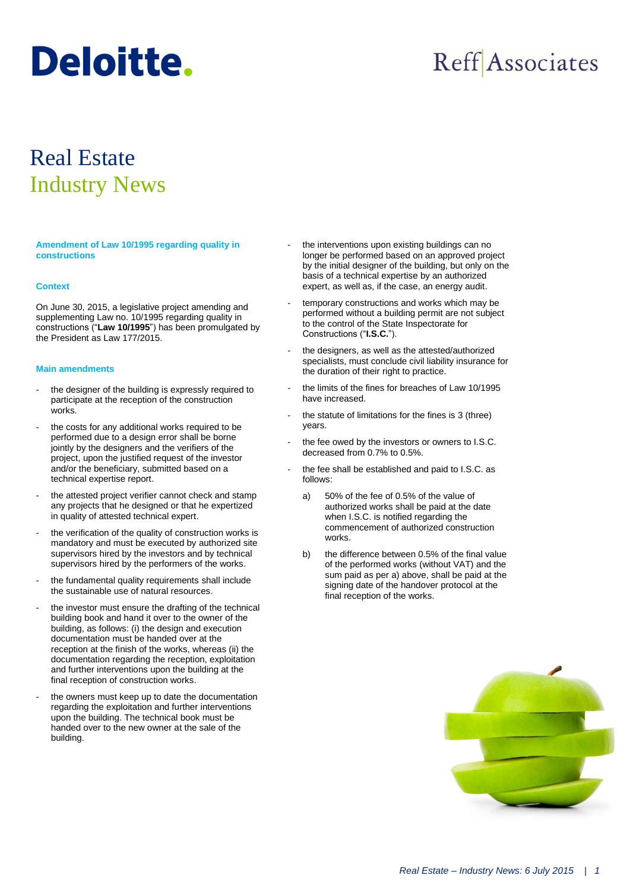# **Deloitte.**

## **Reff** Associates

### Real Estate Industry News

**Amendment of Law 10/1995 regarding quality in constructions**

#### **Context**

On June 30, 2015, a legislative project amending and supplementing Law no. 10/1995 regarding quality in constructions ("**Law 10/1995**") has been promulgated by the President as Law 177/2015.

#### **Main amendments**

- the designer of the building is expressly required to participate at the reception of the construction works.
- the costs for any additional works required to be performed due to a design error shall be borne jointly by the designers and the verifiers of the project, upon the justified request of the investor and/or the beneficiary, submitted based on a technical expertise report.
- the attested project verifier cannot check and stamp any projects that he designed or that he expertized in quality of attested technical expert.
- the verification of the quality of construction works is mandatory and must be executed by authorized site supervisors hired by the investors and by technical supervisors hired by the performers of the works.
- the fundamental quality requirements shall include the sustainable use of natural resources.
- the investor must ensure the drafting of the technical building book and hand it over to the owner of the building, as follows: (i) the design and execution documentation must be handed over at the reception at the finish of the works, whereas (ii) the documentation regarding the reception, exploitation and further interventions upon the building at the final reception of construction works.
- the owners must keep up to date the documentation regarding the exploitation and further interventions upon the building. The technical book must be handed over to the new owner at the sale of the building.
- the interventions upon existing buildings can no longer be performed based on an approved project by the initial designer of the building, but only on the basis of a technical expertise by an authorized expert, as well as, if the case, an energy audit.
- temporary constructions and works which may be performed without a building permit are not subject to the control of the State Inspectorate for Constructions ("**I.S.C.**").
- the designers, as well as the attested/authorized specialists, must conclude civil liability insurance for the duration of their right to practice.
- the limits of the fines for breaches of Law 10/1995 have increased.
- the statute of limitations for the fines is 3 (three) years.
- the fee owed by the investors or owners to I.S.C. decreased from 0.7% to 0.5%.
- the fee shall be established and paid to I.S.C. as follows:
	- a) 50% of the fee of 0.5% of the value of authorized works shall be paid at the date when I.S.C. is notified regarding the commencement of authorized construction works.
	- b) the difference between 0.5% of the final value of the performed works (without VAT) and the sum paid as per a) above, shall be paid at the signing date of the handover protocol at the final reception of the works.